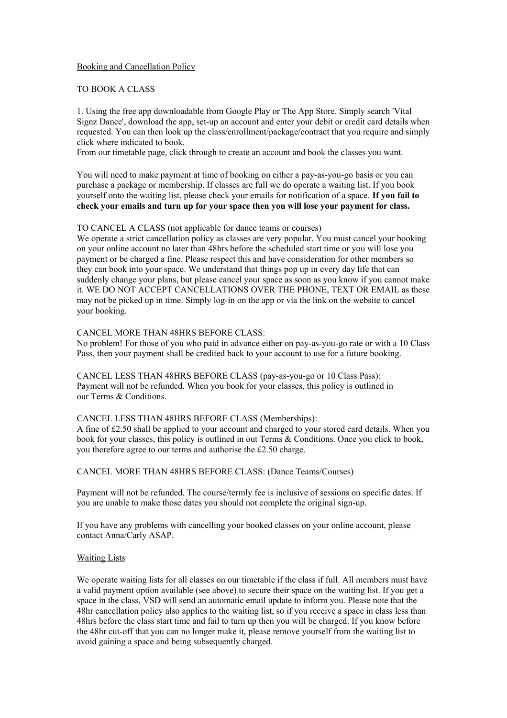## Booking and Cancellation Policy

## TO BOOK A CLASS

1. Using the free app downloadable from Google Play or The App Store. Simply search 'Vital Signz Dance', download the app, set-up an account and enter your debit or credit card details when requested. You can then look up the class/enrollment/package/contract that you require and simply click where indicated to book.

From our timetable page, click through to create an account and book the classes you want.

You will need to make payment at time of booking on either a pay-as-you-go basis or you can purchase a package or membership. If classes are full we do operate a waiting list. If you book yourself onto the waiting list, please check your emails for notification of a space. **If you fail to check your emails and turn up for your space then you will lose your payment for class.**

#### TO CANCEL A CLASS (not applicable for dance teams or courses)

We operate a strict cancellation policy as classes are very popular. You must cancel your booking on your online account no later than 48hrs before the scheduled start time or you will lose you payment or be charged a fine. Please respect this and have consideration for other members so they can book into your space. We understand that things pop up in every day life that can suddenly change your plans, but please cancel your space as soon as you know if you cannot make it. WE DO NOT ACCEPT CANCELLATIONS OVER THE PHONE, TEXT OR EMAIL as these may not be picked up in time. Simply log-in on the app or via the link on the website to cancel your booking.

#### CANCEL MORE THAN 48HRS BEFORE CLASS:

No problem! For those of you who paid in advance either on pay-as-you-go rate or with a 10 Class Pass, then your payment shall be credited back to your account to use for a future booking.

CANCEL LESS THAN 48HRS BEFORE CLASS (pay-as-you-go or 10 Class Pass): Payment will not be refunded. When you book for your classes, this policy is outlined in our Terms & Conditions.

#### CANCEL LESS THAN 48HRS BEFORE CLASS (Memberships):

A fine of £2.50 shall be applied to your account and charged to your stored card details. When you book for your classes, this policy is outlined in out Terms & Conditions. Once you click to book, you therefore agree to our terms and authorise the £2.50 charge.

### CANCEL MORE THAN 48HRS BEFORE CLASS: (Dance Teams/Courses)

Payment will not be refunded. The course/termly fee is inclusive of sessions on specific dates. If you are unable to make those dates you should not complete the original sign-up.

If you have any problems with cancelling your booked classes on your online account, please contact Anna/Carly ASAP.

#### Waiting Lists

We operate waiting lists for all classes on our timetable if the class if full. All members must have a valid payment option available (see above) to secure their space on the waiting list. If you get a space in the class, VSD will send an automatic email update to inform you. Please note that the 48hr cancellation policy also applies to the waiting list, so if you receive a space in class less than 48hrs before the class start time and fail to turn up then you will be charged. If you know before the 48hr cut-off that you can no longer make it, please remove yourself from the waiting list to avoid gaining a space and being subsequently charged.